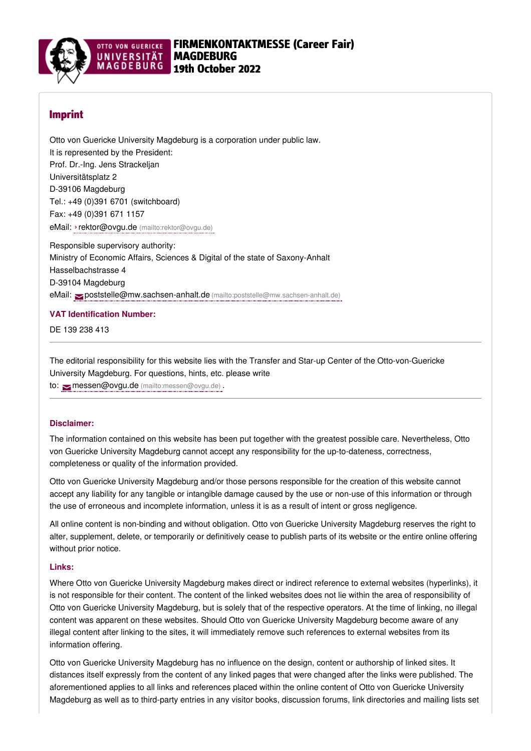

# Imprint

Otto von Guericke University Magdeburg is a corporation under public law. It is represented by the President: Prof. Dr.-Ing. Jens Strackeljan Universitätsplatz 2 D-39106 Magdeburg Tel.: +49 (0)391 6701 (switchboard) Fax: +49 (0)391 671 1157 eMail: ›rektor@ovgu.de [\(mailto:rektor@ovgu.de\)](mailto:rektor@ovgu.de)

Responsible supervisory authority: Ministry of Economic Affairs, Sciences & Digital of the state of Saxony-Anhalt Hasselbachstrasse 4 D-39104 Magdeburg eMail: [poststelle@mw.sachsen-anhalt.de](mailto:poststelle@mw.sachsen-anhalt.de) (mailto:poststelle@mw.sachsen-anhalt.de)

## **VAT Identification Number:**

DE 139 238 413

The editorial responsibility for this website lies with the Transfer and Star-up Center of the Otto-von-Guericke University Magdeburg. For questions, hints, etc. please write to: messen@ovgu.de [\(mailto:messen@ovgu.de\)](mailto:messen@ovgu.de).

## **Disclaimer:**

The information contained on this website has been put together with the greatest possible care. Nevertheless, Otto von Guericke University Magdeburg cannot accept any responsibility for the up-to-dateness, correctness, completeness or quality of the information provided.

Otto von Guericke University Magdeburg and/or those persons responsible for the creation of this website cannot accept any liability for any tangible or intangible damage caused by the use or non-use of this information or through the use of erroneous and incomplete information, unless it is as a result of intent or gross negligence.

All online content is non-binding and without obligation. Otto von Guericke University Magdeburg reserves the right to alter, supplement, delete, or temporarily or definitively cease to publish parts of its website or the entire online offering without prior notice.

#### **Links:**

Where Otto von Guericke University Magdeburg makes direct or indirect reference to external websites (hyperlinks), it is not responsible for their content. The content of the linked websites does not lie within the area of responsibility of Otto von Guericke University Magdeburg, but is solely that of the respective operators. At the time of linking, no illegal content was apparent on these websites. Should Otto von Guericke University Magdeburg become aware of any illegal content after linking to the sites, it will immediately remove such references to external websites from its information offering.

Otto von Guericke University Magdeburg has no influence on the design, content or authorship of linked sites. It distances itself expressly from the content of any linked pages that were changed after the links were published. The aforementioned applies to all links and references placed within the online content of Otto von Guericke University Magdeburg as well as to third-party entries in any visitor books, discussion forums, link directories and mailing lists set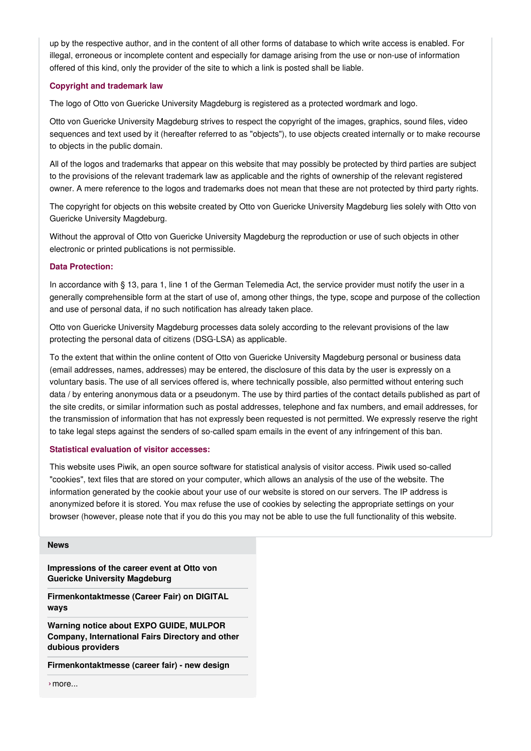up by the respective author, and in the content of all other forms of database to which write access is enabled. For illegal, erroneous or incomplete content and especially for damage arising from the use or non-use of information offered of this kind, only the provider of the site to which a link is posted shall be liable.

## **Copyright and trademark law**

The logo of Otto von Guericke University Magdeburg is registered as a protected wordmark and logo.

Otto von Guericke University Magdeburg strives to respect the copyright of the images, graphics, sound files, video sequences and text used by it (hereafter referred to as "objects"), to use objects created internally or to make recourse to objects in the public domain.

All of the logos and trademarks that appear on this website that may possibly be protected by third parties are subject to the provisions of the relevant trademark law as applicable and the rights of ownership of the relevant registered owner. A mere reference to the logos and trademarks does not mean that these are not protected by third party rights.

The copyright for objects on this website created by Otto von Guericke University Magdeburg lies solely with Otto von Guericke University Magdeburg.

Without the approval of Otto von Guericke University Magdeburg the reproduction or use of such objects in other electronic or printed publications is not permissible.

## **Data Protection:**

In accordance with § 13, para 1, line 1 of the German Telemedia Act, the service provider must notify the user in a generally comprehensible form at the start of use of, among other things, the type, scope and purpose of the collection and use of personal data, if no such notification has already taken place.

Otto von Guericke University Magdeburg processes data solely according to the relevant provisions of the law protecting the personal data of citizens (DSG-LSA) as applicable.

To the extent that within the online content of Otto von Guericke University Magdeburg personal or business data (email addresses, names, addresses) may be entered, the disclosure of this data by the user is expressly on a voluntary basis. The use of all services offered is, where technically possible, also permitted without entering such data / by entering anonymous data or a pseudonym. The use by third parties of the contact details published as part of the site credits, or similar information such as postal addresses, telephone and fax numbers, and email addresses, for the transmission of information that has not expressly been requested is not permitted. We expressly reserve the right to take legal steps against the senders of so-called spam emails in the event of any infringement of this ban.

## **Statistical evaluation of visitor accesses:**

This website uses Piwik, an open source software for statistical analysis of visitor access. Piwik used so-called "cookies", text files that are stored on your computer, which allows an analysis of the use of the website. The information generated by the cookie about your use of our website is stored on our servers. The IP address is anonymized before it is stored. You max refuse the use of cookies by selecting the appropriate settings on your browser (however, please note that if you do this you may not be able to use the full functionality of this website.

#### **[News](https://www.firmenkontaktmesse.ovgu.de/firmenkontaktmesse/en/News.html)**

**[Impressions](https://www.firmenkontaktmesse.ovgu.de/firmenkontaktmesse/en/News/That+was+the+Company+Contact+Fair+2021_+Impressions+and+more-p-716.html) of the career event at Otto von Guericke University Magdeburg**

**[Firmenkontaktmesse](https://www.firmenkontaktmesse.ovgu.de/firmenkontaktmesse/en/News/Firmenkontaktmesse+%28Career+Fair%29+on++DIGITAL+ways.html) (Career Fair) on DIGITAL ways**

**Warning notice about EXPO GUIDE, MULPOR Company, [International](https://www.firmenkontaktmesse.ovgu.de/firmenkontaktmesse/en/News/Warning+notice.html) Fairs Directory and other dubious providers**

**[Firmenkontaktmesse](https://www.firmenkontaktmesse.ovgu.de/firmenkontaktmesse/en/News/New+Design.html) (career fair) - new design**

›[more...](https://www.firmenkontaktmesse.ovgu.de/firmenkontaktmesse/en/News.html)